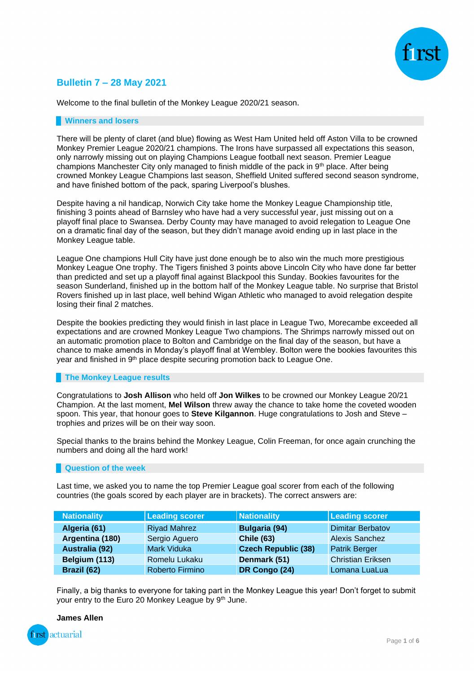

## **Bulletin 7 – 28 May 2021**

Welcome to the final bulletin of the Monkey League 2020/21 season.

#### **Winners and losers**

There will be plenty of claret (and blue) flowing as West Ham United held off Aston Villa to be crowned Monkey Premier League 2020/21 champions. The Irons have surpassed all expectations this season, only narrowly missing out on playing Champions League football next season. Premier League champions Manchester City only managed to finish middle of the pack in  $9<sup>th</sup>$  place. After being crowned Monkey League Champions last season, Sheffield United suffered second season syndrome, and have finished bottom of the pack, sparing Liverpool's blushes.

Despite having a nil handicap, Norwich City take home the Monkey League Championship title, finishing 3 points ahead of Barnsley who have had a very successful year, just missing out on a playoff final place to Swansea. Derby County may have managed to avoid relegation to League One on a dramatic final day of the season, but they didn't manage avoid ending up in last place in the Monkey League table.

League One champions Hull City have just done enough be to also win the much more prestigious Monkey League One trophy. The Tigers finished 3 points above Lincoln City who have done far better than predicted and set up a playoff final against Blackpool this Sunday. Bookies favourites for the season Sunderland, finished up in the bottom half of the Monkey League table. No surprise that Bristol Rovers finished up in last place, well behind Wigan Athletic who managed to avoid relegation despite losing their final 2 matches.

Despite the bookies predicting they would finish in last place in League Two, Morecambe exceeded all expectations and are crowned Monkey League Two champions. The Shrimps narrowly missed out on an automatic promotion place to Bolton and Cambridge on the final day of the season, but have a chance to make amends in Monday's playoff final at Wembley. Bolton were the bookies favourites this year and finished in 9<sup>th</sup> place despite securing promotion back to League One.

### **The Monkey League results**

Congratulations to **Josh Allison** who held off **Jon Wilkes** to be crowned our Monkey League 20/21 Champion. At the last moment, **Mel Wilson** threw away the chance to take home the coveted wooden spoon. This year, that honour goes to **Steve Kilgannon**. Huge congratulations to Josh and Steve – trophies and prizes will be on their way soon.

Special thanks to the brains behind the Monkey League, Colin Freeman, for once again crunching the numbers and doing all the hard work!

### **Question of the week**

Last time, we asked you to name the top Premier League goal scorer from each of the following countries (the goals scored by each player are in brackets). The correct answers are:

| <b>Nationality</b> | <b>Leading scorer</b> | Nationality                | Leading scorer           |
|--------------------|-----------------------|----------------------------|--------------------------|
| Algeria (61)       | <b>Riyad Mahrez</b>   | <b>Bulgaria (94)</b>       | <b>Dimitar Berbatov</b>  |
| Argentina (180)    | Sergio Aguero         | <b>Chile (63)</b>          | <b>Alexis Sanchez</b>    |
| Australia (92)     | <b>Mark Viduka</b>    | <b>Czech Republic (38)</b> | <b>Patrik Berger</b>     |
| Belgium (113)      | Romelu Lukaku         | Denmark (51)               | <b>Christian Eriksen</b> |
| Brazil (62)        | Roberto Firmino       | DR Congo (24)              | Lomana LuaLua            |

Finally, a big thanks to everyone for taking part in the Monkey League this year! Don't forget to submit your entry to the Euro 20 Monkey League by 9<sup>th</sup> June.

**James Allen**

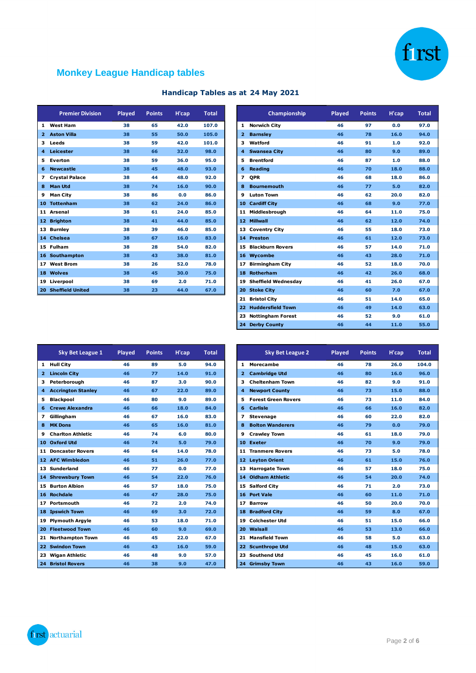

# **Monkey League Handicap tables**

| Handicap Tables as at 24 May 2021 |  |  |  |
|-----------------------------------|--|--|--|
|                                   |  |  |  |

|    | <b>Premier Division</b> | Played | <b>Points</b> | H'cap | <b>Total</b> |
|----|-------------------------|--------|---------------|-------|--------------|
| 1  | <b>West Ham</b>         | 38     | 65            | 42.0  | 107.0        |
| 2  | <b>Aston Villa</b>      | 38     | 55            | 50.0  | 105.0        |
| з  | Leeds                   | 38     | 59            | 42.0  | 101.0        |
| 4  | Leicester               | 38     | 66            | 32.0  | 98.0         |
| 5  | Everton                 | 38     | 59            | 36.0  | 95.0         |
| 6  | <b>Newcastle</b>        | 38     | 45            | 48.0  | 93.0         |
| 7  | <b>Crystal Palace</b>   | 38     | 44            | 48.0  | 92.0         |
| 8  | <b>Man Utd</b>          | 38     | 74            | 16.0  | 90.0         |
| 9  | <b>Man City</b>         | 38     | 86            | 0.0   | 86.0         |
| 10 | <b>Tottenham</b>        | 38     | 62            | 24.0  | 86.0         |
| 11 | Arsenal                 | 38     | 61            | 24.0  | 85.0         |
| 12 | <b>Brighton</b>         | 38     | 41            | 44.0  | 85.0         |
| 13 | <b>Burnley</b>          | 38     | 39            | 46.0  | 85.0         |
| 14 | <b>Chelsea</b>          | 38     | 67            | 16.0  | 83.0         |
| 15 | <b>Fulham</b>           | 38     | 28            | 54.0  | 82.0         |
| 16 | Southampton             | 38     | 43            | 38.0  | 81.0         |
| 17 | <b>West Brom</b>        | 38     | 26            | 52.0  | 78.0         |
| 18 | <b>Wolves</b>           | 38     | 45            | 30.0  | 75.0         |
| 19 | Liverpool               | 38     | 69            | 2.0   | 71.0         |
| 20 | <b>Sheffield United</b> | 38     | 23            | 44.0  | 67.0         |

| <b>Premier Division</b> | Played | <b>Points</b> | H'cap | <b>Total</b> |
|-------------------------|--------|---------------|-------|--------------|
| 1 West Ham              | 38     | 65            | 42.0  | 107.0        |
| 2 Aston Villa           | 38     | 55            | 50.0  | 105.0        |
| 3 Leeds                 | 38     | 59            | 42.0  | 101.0        |
| 4 Leicester             | 38     | 66            | 32.0  | 98.0         |
| 5 Everton               | 38     | 59            | 36.0  | 95.0         |
| 6 Newcastle             | 38     | 45            | 48.0  | 93.0         |
| 7 Crystal Palace        | 38     | 44            | 48.0  | 92.0         |
| 8 Man Utd               | 38     | 74            | 16.0  | 90.0         |
| 9 Man City              | 38     | 86            | 0.0   | 86.0         |
| 10 Tottenham            | 38     | 62            | 24.0  | 86.0         |
| 11 Arsenal              | 38     | 61            | 24.0  | 85.0         |
| 12 Brighton             | 38     | 41            | 44.0  | 85.0         |
| 13 Burnlev              | 38     | 39            | 46.0  | 85.0         |
| 14 Chelsea              | 38     | 67            | 16.0  | 83.0         |
| 15 Fulham               | 38     | 28            | 54.0  | 82.0         |
| 16 Southampton          | 38     | 43            | 38.0  | 81.0         |
| 17 West Brom            | 38     | 26            | 52.0  | 78.0         |
| 18 Wolves               | 38     | 45            | 30.0  | 75.0         |
| 19 Liverpool            | 38     | 69            | 2.0   | 71.0         |
| 20 Sheffield United     | 38     | 23            | 44.0  | 67.0         |
|                         |        |               |       |              |
|                         |        |               |       |              |
|                         |        |               |       |              |
|                         |        |               |       |              |

|                 | <b>Sky Bet League 1</b>   | Played | <b>Points</b> | H'cap | <b>Total</b> |
|-----------------|---------------------------|--------|---------------|-------|--------------|
| 1               | <b>Hull City</b>          | 46     | 89            | 5.0   | 94.0         |
| $\overline{2}$  | <b>Lincoln City</b>       | 46     | 77            | 14.0  | 91.0         |
| з               | Peterborough              | 46     | 87            | 3.0   | 90.0         |
| 4               | <b>Accrington Stanley</b> | 46     | 67            | 22.0  | 89.0         |
| 5               | <b>Blackpool</b>          | 46     | 80            | 9.0   | 89.0         |
| 6               | <b>Crewe Alexandra</b>    | 46     | 66            | 18.0  | 84.0         |
| 7               | Gillingham                | 46     | 67            | 16.0  | 83.0         |
| 8               | <b>MK Dons</b>            | 46     | 65            | 16.0  | 81.0         |
| 9               | <b>Charlton Athletic</b>  | 46     | 74            | 6.0   | 80.0         |
| 10              | <b>Oxford Utd</b>         | 46     | 74            | 5.0   | 79.0         |
| 11              | <b>Doncaster Rovers</b>   | 46     | 64            | 14.0  | 78.0         |
|                 | 12 AFC Wimbledon          | 46     | 51            | 26.0  | 77.0         |
| 13              | Sunderland                | 46     | 77            | 0.0   | 77.0         |
| 14 <sup>1</sup> | <b>Shrewsbury Town</b>    | 46     | 54            | 22.0  | 76.0         |
| 15              | <b>Burton Albion</b>      | 46     | 57            | 18.0  | 75.0         |
| 16              | <b>Rochdale</b>           | 46     | 47            | 28.0  | 75.0         |
| 17              | Portsmouth                | 46     | 72            | 2.0   | 74.0         |
| 18              | <b>Ipswich Town</b>       | 46     | 69            | 3.0   | 72.0         |
| 19              | <b>Plymouth Argyle</b>    | 46     | 53            | 18.0  | 71.0         |
| 20              | <b>Fleetwood Town</b>     | 46     | 60            | 9.0   | 69.0         |
| 21              | <b>Northampton Town</b>   | 46     | 45            | 22.0  | 67.0         |
| 22              | <b>Swindon Town</b>       | 46     | 43            | 16.0  | 59.0         |
| 23              | <b>Wigan Athletic</b>     | 46     | 48            | 9.0   | 57.0         |
|                 | <b>24 Bristol Rovers</b>  | 46     | 38            | 9.0   | 47.0         |

| <b>Sky Bet League 1</b>  | Played | <b>Points</b> | H'cap | <b>Total</b> |
|--------------------------|--------|---------------|-------|--------------|
| 1 Hull City              | 46     | 89            | 5.0   | 94.0         |
| 2 Lincoln City           | 46     | 77            | 14.0  | 91.0         |
| 3 Peterborough           | 46     | 87            | 3.0   | 90.0         |
| 4 Accrington Stanley     | 46     | 67            | 22.0  | 89.0         |
| 5 Blackpool              | 46     | 80            | 9.0   | 89.0         |
| 6 Crewe Alexandra        | 46     | 66            | 18.0  | 84.0         |
| 7 Gillingham             | 46     | 67            | 16.0  | 83.0         |
| 8 MK Dons                | 46     | 65            | 16.0  | 81.0         |
| 9 Charlton Athletic      | 46     | 74            | 6.0   | 80.0         |
| 10 Oxford Utd            | 46     | 74            | 5.0   | 79.0         |
| 11 Doncaster Rovers      | 46     | 64            | 14.0  | 78.0         |
| 12 AFC Wimbledon         | 46     | 51            | 26.0  | 77.0         |
| 13 Sunderland            | 46     | 77            | 0.0   | 77.0         |
| 14 Shrewsbury Town       | 46     | 54            | 22.0  | 76.0         |
| <b>15 Burton Albion</b>  | 46     | 57            | 18.0  | 75.0         |
| 16 Rochdale              | 46     | 47            | 28.0  | 75.0         |
| 17 Portsmouth            | 46     | 72            | 2.0   | 74.0         |
| 18 Ipswich Town          | 46     | 69            | 3.0   | 72.0         |
| 19 Plymouth Argyle       | 46     | 53            | 18.0  | 71.0         |
| 20 Fleetwood Town        | 46     | 60            | 9.0   | 69.0         |
| 21 Northampton Town      | 46     | 45            | 22.0  | 67.0         |
| 22 Swindon Town          | 46     | 43            | 16.0  | 59.0         |
| 23 Wigan Athletic        | 46     | 48            | 9.0   | 57.0         |
| <b>24 Bristol Rovers</b> | 46     | 38            | 9.0   | 47.0         |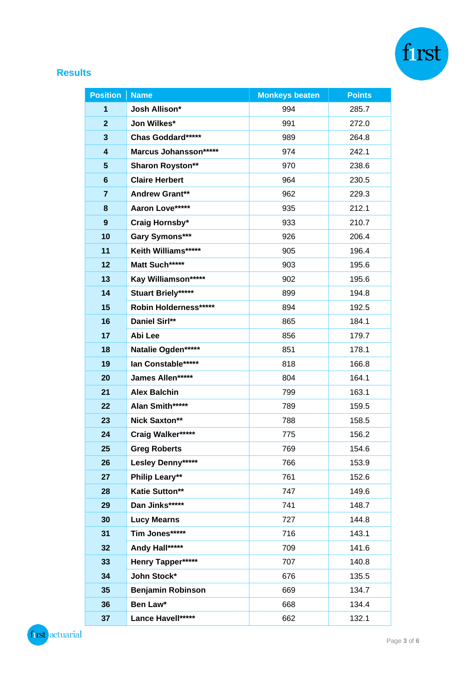

## **Results**

| <b>Position</b>         | <b>Name</b>               | <b>Monkeys beaten</b> | <b>Points</b> |
|-------------------------|---------------------------|-----------------------|---------------|
| 1                       | <b>Josh Allison*</b>      | 994                   | 285.7         |
| $\mathbf{2}$            | Jon Wilkes*               | 991                   | 272.0         |
| 3                       | Chas Goddard*****         | 989                   | 264.8         |
| $\overline{\mathbf{4}}$ | Marcus Johansson******    | 974                   | 242.1         |
| $5\phantom{.0}$         | <b>Sharon Royston**</b>   | 970                   | 238.6         |
| $6\phantom{1}$          | <b>Claire Herbert</b>     | 964                   | 230.5         |
| $\overline{7}$          | <b>Andrew Grant**</b>     | 962                   | 229.3         |
| 8                       | Aaron Love*****           | 935                   | 212.1         |
| 9                       | Craig Hornsby*            | 933                   | 210.7         |
| 10                      | Gary Symons***            | 926                   | 206.4         |
| 11                      | Keith Williams*****       | 905                   | 196.4         |
| 12                      | Matt Such*****            | 903                   | 195.6         |
| 13                      | Kay Williamson*****       | 902                   | 195.6         |
| 14                      | <b>Stuart Briely*****</b> | 899                   | 194.8         |
| 15                      | Robin Holderness******    | 894                   | 192.5         |
| 16                      | Daniel Sirl**             | 865                   | 184.1         |
| 17                      | Abi Lee                   | 856                   | 179.7         |
| 18                      | Natalie Ogden*****        | 851                   | 178.1         |
| 19                      | lan Constable*****        | 818                   | 166.8         |
| 20                      | James Allen*****          | 804                   | 164.1         |
| 21                      | <b>Alex Balchin</b>       | 799                   | 163.1         |
| 22                      | Alan Smith*****           | 789                   | 159.5         |
| 23                      | <b>Nick Saxton**</b>      | 788                   | 158.5         |
| 24                      | Craig Walker*****         | 775                   | 156.2         |
| 25                      | <b>Greg Roberts</b>       | 769                   | 154.6         |
| 26                      | Lesley Denny*****         | 766                   | 153.9         |
| 27                      | Philip Leary**            | 761                   | 152.6         |
| 28                      | <b>Katie Sutton**</b>     | 747                   | 149.6         |
| 29                      | Dan Jinks*****            | 741                   | 148.7         |
| 30                      | <b>Lucy Mearns</b>        | 727                   | 144.8         |
| 31                      | Tim Jones*****            | 716                   | 143.1         |
| 32                      | Andy Hall*****            | 709                   | 141.6         |
| 33                      | Henry Tapper*****         | 707                   | 140.8         |
| 34                      | John Stock*               | 676                   | 135.5         |
| 35                      | <b>Benjamin Robinson</b>  | 669                   | 134.7         |
| 36                      | Ben Law*                  | 668                   | 134.4         |
| 37                      | Lance Havell*****         | 662                   | 132.1         |

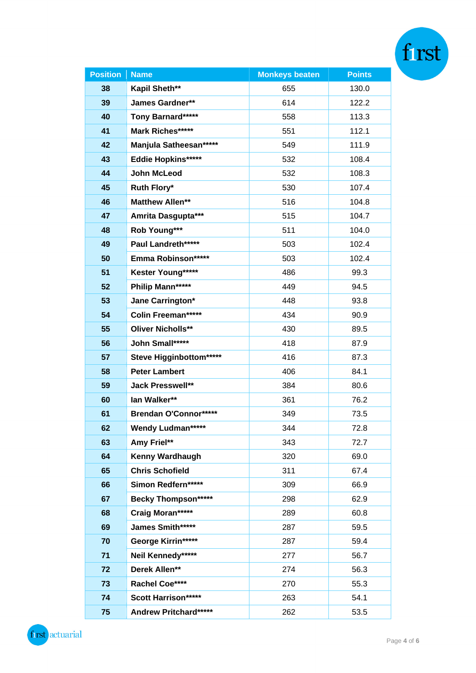| <b>Position</b> | <b>Name</b>                  | <b>Monkeys beaten</b> | <b>Points</b> |  |
|-----------------|------------------------------|-----------------------|---------------|--|
| 38              | Kapil Sheth**                | 655                   | 130.0         |  |
| 39              | James Gardner**              | 614                   | 122.2         |  |
| 40              | Tony Barnard*****            | 558                   | 113.3         |  |
| 41              | Mark Riches*****             | 551                   | 112.1         |  |
| 42              | Manjula Satheesan*****       | 549                   | 111.9         |  |
| 43              | Eddie Hopkins*****           | 532                   | 108.4         |  |
| 44              | John McLeod                  | 532                   | 108.3         |  |
| 45              | Ruth Flory*                  | 530                   | 107.4         |  |
| 46              | <b>Matthew Allen**</b>       | 516                   | 104.8         |  |
| 47              | Amrita Dasgupta***           | 515                   | 104.7         |  |
| 48              | Rob Young***                 | 511                   | 104.0         |  |
| 49              | Paul Landreth******          | 503                   | 102.4         |  |
| 50              | Emma Robinson******          | 503                   | 102.4         |  |
| 51              | Kester Young*****            | 486                   | 99.3          |  |
| 52              | Philip Mann*****             | 449                   | 94.5          |  |
| 53              | Jane Carrington*             | 448                   | 93.8          |  |
| 54              | Colin Freeman*****           | 434                   | 90.9          |  |
| 55              | <b>Oliver Nicholls**</b>     | 430                   | 89.5          |  |
| 56              | John Small*****              | 418                   | 87.9          |  |
| 57              | Steve Higginbottom*****      | 416                   | 87.3          |  |
| 58              | <b>Peter Lambert</b>         | 406                   | 84.1          |  |
| 59              | <b>Jack Presswell**</b>      | 384                   | 80.6          |  |
| 60              | lan Walker**                 | 361                   | 76.2          |  |
| 61              | Brendan O'Connor******       | 349                   | 73.5          |  |
| 62              | <b>Wendy Ludman*****</b>     | 344                   | 72.8          |  |
| 63              | Amy Friel**                  | 343                   | 72.7          |  |
| 64              | <b>Kenny Wardhaugh</b>       | 320                   | 69.0          |  |
| 65              | <b>Chris Schofield</b>       | 311                   | 67.4          |  |
| 66              | Simon Redfern*****           | 309                   | 66.9          |  |
| 67              | <b>Becky Thompson*****</b>   | 298                   | 62.9          |  |
| 68              | Craig Moran*****             | 289                   | 60.8          |  |
| 69              | James Smith*****             | 287                   | 59.5          |  |
| 70              | George Kirrin*****           | 287                   | 59.4          |  |
| 71              | Neil Kennedy*****            | 277                   | 56.7          |  |
| 72              | Derek Allen**                | 274                   | 56.3          |  |
| 73              | Rachel Coe****               | 270                   | 55.3          |  |
| 74              | <b>Scott Harrison*****</b>   | 263                   | 54.1          |  |
| 75              | <b>Andrew Pritchard*****</b> | 262                   | 53.5          |  |

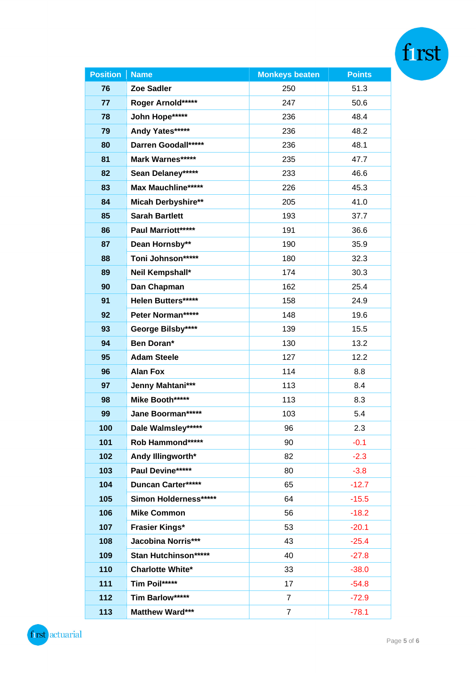| Position | <b>Name</b>               | <b>Monkeys beaten</b> | <b>Points</b> |  |
|----------|---------------------------|-----------------------|---------------|--|
| 76       | Zoe Sadler                | 250                   | 51.3          |  |
| 77       | Roger Arnold*****         | 247                   | 50.6          |  |
| 78       | John Hope*****            | 236                   | 48.4          |  |
| 79       | Andy Yates*****           | 236                   | 48.2          |  |
| 80       | Darren Goodall*****       | 236                   | 48.1          |  |
| 81       | Mark Warnes*****          | 235                   | 47.7          |  |
| 82       | Sean Delaney*****         | 233                   | 46.6          |  |
| 83       | Max Mauchline*****        | 226                   | 45.3          |  |
| 84       | <b>Micah Derbyshire**</b> | 205                   | 41.0          |  |
| 85       | <b>Sarah Bartlett</b>     | 193                   | 37.7          |  |
| 86       | Paul Marriott*****        | 191                   | 36.6          |  |
| 87       | Dean Hornsby**            | 190                   | 35.9          |  |
| 88       | Toni Johnson*****         | 180                   | 32.3          |  |
| 89       | Neil Kempshall*           | 174                   | 30.3          |  |
| 90       | Dan Chapman               | 162                   | 25.4          |  |
| 91       | Helen Butters*****        | 158                   | 24.9          |  |
| 92       | Peter Norman*****         | 148                   | 19.6          |  |
| 93       | George Bilsby****         | 139                   | 15.5          |  |
| 94       | Ben Doran*                | 130                   | 13.2          |  |
| 95       | <b>Adam Steele</b>        | 127                   | 12.2          |  |
| 96       | <b>Alan Fox</b>           | 114                   | 8.8           |  |
| 97       | Jenny Mahtani***          | 113                   | 8.4           |  |
| 98       | Mike Booth*****           | 113                   | 8.3           |  |
| 99       | Jane Boorman*****         | 103                   | 5.4           |  |
| 100      | Dale Walmsley*****        | 96                    | 2.3           |  |
| 101      | Rob Hammond*****          | 90                    | $-0.1$        |  |
| 102      | Andy Illingworth*         | 82                    | $-2.3$        |  |
| 103      | Paul Devine*****          | 80                    | $-3.8$        |  |
| 104      | <b>Duncan Carter*****</b> | 65                    | $-12.7$       |  |
| 105      | Simon Holderness*****     | 64                    | $-15.5$       |  |
| 106      | <b>Mike Common</b>        | 56                    | $-18.2$       |  |
| 107      | <b>Frasier Kings*</b>     | 53                    | $-20.1$       |  |
| 108      | Jacobina Norris***        | 43                    | $-25.4$       |  |
| 109      | Stan Hutchinson*****      | 40                    | $-27.8$       |  |
| 110      | <b>Charlotte White*</b>   | 33                    | $-38.0$       |  |
| 111      | Tim Poil*****             | 17                    | $-54.8$       |  |
| 112      | Tim Barlow*****           | $\overline{7}$        | $-72.9$       |  |
| 113      | Matthew Ward***           | $\overline{7}$        | $-78.1$       |  |